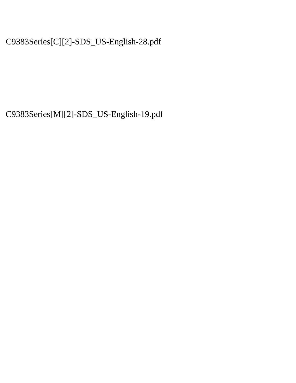C9383Series[C][2]-SDS\_US-English-28.pdf

C9383Series[M][2]-SDS\_US-English-19.pdf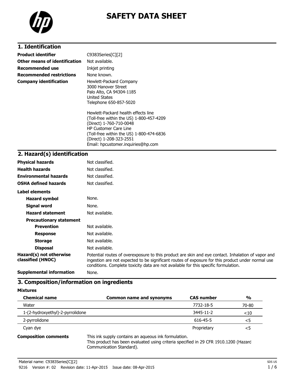

# **SAFETY DATA SHEET**

# **1. Identification**

| Product identifier              | C9383Series[C][2]                                                                                                                                                                                                                                       |
|---------------------------------|---------------------------------------------------------------------------------------------------------------------------------------------------------------------------------------------------------------------------------------------------------|
| Other means of identification   | Not available.                                                                                                                                                                                                                                          |
| <b>Recommended use</b>          | Inkjet printing                                                                                                                                                                                                                                         |
| <b>Recommended restrictions</b> | None known.                                                                                                                                                                                                                                             |
| <b>Company identification</b>   | Hewlett-Packard Company<br>3000 Hanover Street<br>Palo Alto, CA 94304-1185<br>United States<br>Telephone 650-857-5020                                                                                                                                   |
|                                 | Hewlett-Packard health effects line<br>(Toll-free within the US) 1-800-457-4209<br>(Direct) 1-760-710-0048<br><b>HP Customer Care Line</b><br>(Toll-free within the US) 1-800-474-6836<br>(Direct) 1-208-323-2551<br>Email: hpcustomer.inguiries@hp.com |

## **2. Hazard(s) identification**

| <b>Physical hazards</b>                      | Not classified.                                                                                                                                                                                                                                                                                |
|----------------------------------------------|------------------------------------------------------------------------------------------------------------------------------------------------------------------------------------------------------------------------------------------------------------------------------------------------|
| <b>Health hazards</b>                        | Not classified.                                                                                                                                                                                                                                                                                |
| <b>Environmental hazards</b>                 | Not classified.                                                                                                                                                                                                                                                                                |
| <b>OSHA defined hazards</b>                  | Not classified.                                                                                                                                                                                                                                                                                |
| Label elements                               |                                                                                                                                                                                                                                                                                                |
| <b>Hazard symbol</b>                         | None.                                                                                                                                                                                                                                                                                          |
| Signal word                                  | None.                                                                                                                                                                                                                                                                                          |
| <b>Hazard statement</b>                      | Not available.                                                                                                                                                                                                                                                                                 |
| <b>Precautionary statement</b>               |                                                                                                                                                                                                                                                                                                |
| <b>Prevention</b>                            | Not available.                                                                                                                                                                                                                                                                                 |
| <b>Response</b>                              | Not available.                                                                                                                                                                                                                                                                                 |
| <b>Storage</b>                               | Not available.                                                                                                                                                                                                                                                                                 |
| <b>Disposal</b>                              | Not available.                                                                                                                                                                                                                                                                                 |
| Hazard(s) not otherwise<br>classified (HNOC) | Potential routes of overexposure to this product are skin and eye contact. Inhalation of vapor and<br>ingestion are not expected to be significant routes of exposure for this product under normal use<br>conditions. Complete toxicity data are not available for this specific formulation. |
| .                                            |                                                                                                                                                                                                                                                                                                |

**Supplemental information** None.

## **3. Composition/information on ingredients**

**Mixtures**

| <b>Chemical name</b>                                                                                   | <b>Common name and synonyms</b> | <b>CAS number</b> | $\frac{0}{0}$ |
|--------------------------------------------------------------------------------------------------------|---------------------------------|-------------------|---------------|
| Water                                                                                                  |                                 | 7732-18-5         | 70-80         |
| 1-(2-hydroxyethyl)-2-pyrrolidone                                                                       |                                 | 3445-11-2         | $<$ 10        |
| 2-pyrrolidone                                                                                          |                                 | 616-45-5          | <5            |
| Cyan dye                                                                                               |                                 | Proprietary       | <5            |
| πisto tale consulto consistance con consultato Consolidation.<br>Andreas and the second control of the |                                 |                   |               |

**Composition comments** This ink supply contains an aqueous ink formulation.

This product has been evaluated using criteria specified in 29 CFR 1910.1200 (Hazard Communication Standard).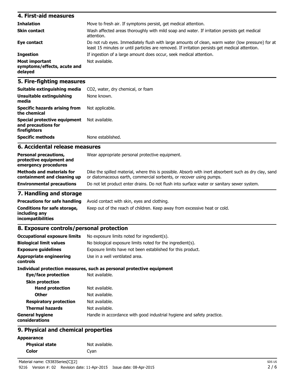#### **4. First-aid measures Inhalation** Move to fresh air. If symptoms persist, get medical attention. **Skin contact** Wash affected areas thoroughly with mild soap and water. If irritation persists get medical attention. **Eye contact** Do not rub eyes. Immediately flush with large amounts of clean, warm water (low pressure) for at least 15 minutes or until particles are removed. If irritation persists get medical attention. **Ingestion** If ingestion of a large amount does occur, seek medical attention. **Most important symptoms/effects, acute and delayed** Not available.

### **5. Fire-fighting measures**

| Unsuitable extinguishing<br>media                                   | None known.       |
|---------------------------------------------------------------------|-------------------|
| Specific hazards arising from<br>the chemical                       | Not applicable.   |
| Special protective equipment<br>and precautions for<br>firefighters | Not available.    |
| <b>Specific methods</b>                                             | None established. |

### **6. Accidental release measures**

| <b>Personal precautions,</b><br>protective equipment and<br>emergency procedures | Wear appropriate personal protective equipment.                                                                                                                              |
|----------------------------------------------------------------------------------|------------------------------------------------------------------------------------------------------------------------------------------------------------------------------|
| <b>Methods and materials for</b><br>containment and cleaning up                  | Dike the spilled material, where this is possible. Absorb with inert absorbent such as dry clay, sand<br>or diatomaceous earth, commercial sorbents, or recover using pumps. |
| <b>Environmental precautions</b>                                                 | Do not let product enter drains. Do not flush into surface water or sanitary sewer system.                                                                                   |

## **7. Handling and storage**

|                                               | <b>Precautions for safe handling</b> Avoid contact with skin, eyes and clothing. |
|-----------------------------------------------|----------------------------------------------------------------------------------|
| Conditions for safe storage,<br>includina anv | Keep out of the reach of children. Keep away from excessive heat or cold.        |
| incompatibilities                             |                                                                                  |

### **8. Exposure controls/personal protection**

| <b>Occupational exposure limits</b>        | No exposure limits noted for ingredient(s).                            |  |  |
|--------------------------------------------|------------------------------------------------------------------------|--|--|
| <b>Biological limit values</b>             | No biological exposure limits noted for the ingredient(s).             |  |  |
| <b>Exposure guidelines</b>                 | Exposure limits have not been established for this product.            |  |  |
| <b>Appropriate engineering</b><br>controls | Use in a well ventilated area.                                         |  |  |
|                                            | Individual protection measures, such as personal protective equipment  |  |  |
| Eye/face protection                        | Not available.                                                         |  |  |
| <b>Skin protection</b>                     |                                                                        |  |  |
| <b>Hand protection</b>                     | Not available.                                                         |  |  |
| <b>Other</b>                               | Not available.                                                         |  |  |
| <b>Respiratory protection</b>              | Not available.                                                         |  |  |
| <b>Thermal hazards</b>                     | Not available.                                                         |  |  |
| <b>General hygiene</b><br>considerations   | Handle in accordance with good industrial hygiene and safety practice. |  |  |
|                                            |                                                                        |  |  |

## **9. Physical and chemical properties**

**Physical state** Not available.

**Color** Cyan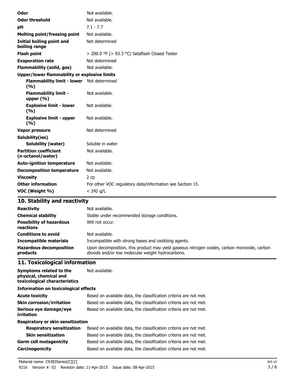| Odor                                               | Not available.                                            |  |  |
|----------------------------------------------------|-----------------------------------------------------------|--|--|
| <b>Odor threshold</b>                              | Not available.                                            |  |  |
| pH                                                 | $7.1 - 7.7$                                               |  |  |
| <b>Melting point/freezing point</b>                | Not available.                                            |  |  |
| Initial boiling point and<br>boiling range         | Not determined                                            |  |  |
| <b>Flash point</b>                                 | > 200.0 °F (> 93.3 °C) Setaflash Closed Tester            |  |  |
| <b>Evaporation rate</b>                            | Not determined                                            |  |  |
| <b>Flammability (solid, gas)</b>                   | Not available.                                            |  |  |
| Upper/lower flammability or explosive limits       |                                                           |  |  |
| Flammability limit - lower Not determined<br>(9/6) |                                                           |  |  |
| <b>Flammability limit -</b><br>upper $(% )$        | Not available.                                            |  |  |
| <b>Explosive limit - lower</b><br>(%)              | Not available.                                            |  |  |
| <b>Explosive limit - upper</b><br>(%)              | Not available.                                            |  |  |
| Vapor pressure                                     | Not determined                                            |  |  |
| Solubility(ies)                                    |                                                           |  |  |
| <b>Solubility (water)</b>                          | Soluble in water                                          |  |  |
| <b>Partition coefficient</b><br>(n-octanol/water)  | Not available.                                            |  |  |
| <b>Auto-ignition temperature</b>                   | Not available.                                            |  |  |
| <b>Decomposition temperature</b>                   | Not available.                                            |  |  |
| <b>Viscosity</b>                                   | 2 cp                                                      |  |  |
| <b>Other information</b>                           | For other VOC regulatory data/information see Section 15. |  |  |
| VOC (Weight %)                                     | $< 242$ g/L                                               |  |  |

# **10. Stability and reactivity**

| <b>Reactivity</b><br><b>Chemical stability</b><br><b>Possibility of hazardous</b><br>reactions | Not available.<br>Stable under recommended storage conditions.<br>Will not occur.                                                                |
|------------------------------------------------------------------------------------------------|--------------------------------------------------------------------------------------------------------------------------------------------------|
| <b>Conditions to avoid</b>                                                                     | Not available.                                                                                                                                   |
| <b>Incompatible materials</b>                                                                  | Incompatible with strong bases and oxidizing agents.                                                                                             |
| <b>Hazardous decomposition</b><br>products                                                     | Upon decomposition, this product may yield gaseous nitrogen oxides, carbon monoxide, carbon<br>dioxide and/or low molecular weight hydrocarbons. |

# **11. Toxicological information**

| Symptoms related to the<br>physical, chemical and<br>toxicological characteristics | Not available.                                                    |  |  |
|------------------------------------------------------------------------------------|-------------------------------------------------------------------|--|--|
| Information on toxicological effects                                               |                                                                   |  |  |
| <b>Acute toxicity</b>                                                              | Based on available data, the classification criteria are not met. |  |  |
| <b>Skin corrosion/irritation</b>                                                   | Based on available data, the classification criteria are not met. |  |  |
| Serious eye damage/eye<br>irritation                                               | Based on available data, the classification criteria are not met. |  |  |
| Respiratory or skin sensitization                                                  |                                                                   |  |  |
| <b>Respiratory sensitization</b>                                                   | Based on available data, the classification criteria are not met. |  |  |
| <b>Skin sensitization</b>                                                          | Based on available data, the classification criteria are not met. |  |  |
| <b>Germ cell mutagenicity</b>                                                      | Based on available data, the classification criteria are not met. |  |  |
| Carcinogenicity                                                                    | Based on available data, the classification criteria are not met. |  |  |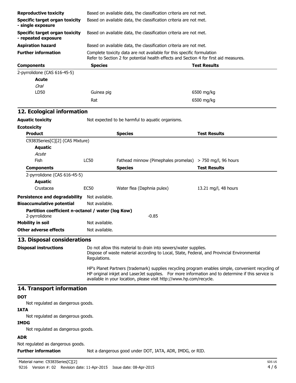| <b>Reproductive toxicity</b>                                       |                                                                                                                                                                                                                                                                                                                                                                                                                                                                   | Based on available data, the classification criteria are not met.                                                                                               |                      |  |
|--------------------------------------------------------------------|-------------------------------------------------------------------------------------------------------------------------------------------------------------------------------------------------------------------------------------------------------------------------------------------------------------------------------------------------------------------------------------------------------------------------------------------------------------------|-----------------------------------------------------------------------------------------------------------------------------------------------------------------|----------------------|--|
| <b>Specific target organ toxicity</b><br>- single exposure         |                                                                                                                                                                                                                                                                                                                                                                                                                                                                   | Based on available data, the classification criteria are not met.                                                                                               |                      |  |
| Specific target organ toxicity<br>- repeated exposure              |                                                                                                                                                                                                                                                                                                                                                                                                                                                                   | Based on available data, the classification criteria are not met.                                                                                               |                      |  |
| <b>Aspiration hazard</b>                                           |                                                                                                                                                                                                                                                                                                                                                                                                                                                                   | Based on available data, the classification criteria are not met.                                                                                               |                      |  |
| <b>Further information</b>                                         |                                                                                                                                                                                                                                                                                                                                                                                                                                                                   | Complete toxicity data are not available for this specific formulation<br>Refer to Section 2 for potential health effects and Section 4 for first aid measures. |                      |  |
| <b>Components</b>                                                  | <b>Species</b>                                                                                                                                                                                                                                                                                                                                                                                                                                                    |                                                                                                                                                                 | <b>Test Results</b>  |  |
| 2-pyrrolidone (CAS 616-45-5)<br>Acute<br><b>Oral</b>               |                                                                                                                                                                                                                                                                                                                                                                                                                                                                   |                                                                                                                                                                 |                      |  |
| LD50                                                               | Guinea pig                                                                                                                                                                                                                                                                                                                                                                                                                                                        |                                                                                                                                                                 | 6500 mg/kg           |  |
|                                                                    | Rat                                                                                                                                                                                                                                                                                                                                                                                                                                                               |                                                                                                                                                                 | 6500 mg/kg           |  |
| 12. Ecological information                                         |                                                                                                                                                                                                                                                                                                                                                                                                                                                                   |                                                                                                                                                                 |                      |  |
| <b>Aquatic toxicity</b>                                            |                                                                                                                                                                                                                                                                                                                                                                                                                                                                   | Not expected to be harmful to aquatic organisms.                                                                                                                |                      |  |
| <b>Ecotoxicity</b>                                                 |                                                                                                                                                                                                                                                                                                                                                                                                                                                                   |                                                                                                                                                                 |                      |  |
| <b>Product</b>                                                     |                                                                                                                                                                                                                                                                                                                                                                                                                                                                   | <b>Species</b>                                                                                                                                                  | <b>Test Results</b>  |  |
| C9383Series[C][2] (CAS Mixture)                                    |                                                                                                                                                                                                                                                                                                                                                                                                                                                                   |                                                                                                                                                                 |                      |  |
| <b>Aquatic</b>                                                     |                                                                                                                                                                                                                                                                                                                                                                                                                                                                   |                                                                                                                                                                 |                      |  |
| Acute                                                              |                                                                                                                                                                                                                                                                                                                                                                                                                                                                   |                                                                                                                                                                 |                      |  |
| Fish                                                               | <b>LC50</b>                                                                                                                                                                                                                                                                                                                                                                                                                                                       | Fathead minnow (Pimephales promelas) $>$ 750 mg/l, 96 hours                                                                                                     |                      |  |
| <b>Components</b>                                                  |                                                                                                                                                                                                                                                                                                                                                                                                                                                                   | <b>Species</b>                                                                                                                                                  | <b>Test Results</b>  |  |
| 2-pyrrolidone (CAS 616-45-5)                                       |                                                                                                                                                                                                                                                                                                                                                                                                                                                                   |                                                                                                                                                                 |                      |  |
| <b>Aquatic</b>                                                     |                                                                                                                                                                                                                                                                                                                                                                                                                                                                   |                                                                                                                                                                 |                      |  |
| Crustacea                                                          | <b>EC50</b>                                                                                                                                                                                                                                                                                                                                                                                                                                                       | Water flea (Daphnia pulex)                                                                                                                                      | 13.21 mg/l, 48 hours |  |
| <b>Persistence and degradability</b>                               | Not available.                                                                                                                                                                                                                                                                                                                                                                                                                                                    |                                                                                                                                                                 |                      |  |
| <b>Bioaccumulative potential</b>                                   | Not available.                                                                                                                                                                                                                                                                                                                                                                                                                                                    |                                                                                                                                                                 |                      |  |
| Partition coefficient n-octanol / water (log Kow)<br>2-pyrrolidone |                                                                                                                                                                                                                                                                                                                                                                                                                                                                   | $-0.85$                                                                                                                                                         |                      |  |
| <b>Mobility in soil</b>                                            | Not available.                                                                                                                                                                                                                                                                                                                                                                                                                                                    |                                                                                                                                                                 |                      |  |
| <b>Other adverse effects</b>                                       | Not available.                                                                                                                                                                                                                                                                                                                                                                                                                                                    |                                                                                                                                                                 |                      |  |
| 13. Disposal considerations                                        |                                                                                                                                                                                                                                                                                                                                                                                                                                                                   |                                                                                                                                                                 |                      |  |
| <b>Disposal instructions</b>                                       | Do not allow this material to drain into sewers/water supplies.<br>Dispose of waste material according to Local, State, Federal, and Provincial Environmental<br>Regulations.<br>HP's Planet Partners (trademark) supplies recycling program enables simple, convenient recycling of<br>HP original inkjet and LaserJet supplies. For more information and to determine if this service is<br>available in your location, please visit http://www.hp.com/recycle. |                                                                                                                                                                 |                      |  |
|                                                                    |                                                                                                                                                                                                                                                                                                                                                                                                                                                                   |                                                                                                                                                                 |                      |  |
| 14. Transport information                                          |                                                                                                                                                                                                                                                                                                                                                                                                                                                                   |                                                                                                                                                                 |                      |  |
| <b>DOT</b>                                                         |                                                                                                                                                                                                                                                                                                                                                                                                                                                                   |                                                                                                                                                                 |                      |  |
| Not regulated as dangerous goods.                                  |                                                                                                                                                                                                                                                                                                                                                                                                                                                                   |                                                                                                                                                                 |                      |  |
| <b>IATA</b>                                                        |                                                                                                                                                                                                                                                                                                                                                                                                                                                                   |                                                                                                                                                                 |                      |  |
| Not regulated as dangerous goods.                                  |                                                                                                                                                                                                                                                                                                                                                                                                                                                                   |                                                                                                                                                                 |                      |  |
| <b>IMDG</b><br>Not regulated as dangerous goods.                   |                                                                                                                                                                                                                                                                                                                                                                                                                                                                   |                                                                                                                                                                 |                      |  |
| <b>ADR</b>                                                         |                                                                                                                                                                                                                                                                                                                                                                                                                                                                   |                                                                                                                                                                 |                      |  |
| Not requisited as dangerous goods.                                 |                                                                                                                                                                                                                                                                                                                                                                                                                                                                   |                                                                                                                                                                 |                      |  |

Not regulated as dangerous goods.

**Further information** Not a dangerous good under DOT, IATA, ADR, IMDG, or RID.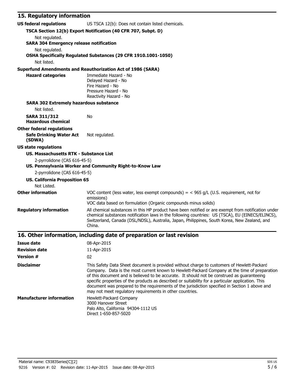| 15. Regulatory information                                                              |                                                                                                                                                                                                                                                                                                                                                                                                                                                                                                                                                                |  |
|-----------------------------------------------------------------------------------------|----------------------------------------------------------------------------------------------------------------------------------------------------------------------------------------------------------------------------------------------------------------------------------------------------------------------------------------------------------------------------------------------------------------------------------------------------------------------------------------------------------------------------------------------------------------|--|
| <b>US federal regulations</b>                                                           | US TSCA 12(b): Does not contain listed chemicals.                                                                                                                                                                                                                                                                                                                                                                                                                                                                                                              |  |
| TSCA Section 12(b) Export Notification (40 CFR 707, Subpt. D)                           |                                                                                                                                                                                                                                                                                                                                                                                                                                                                                                                                                                |  |
| Not regulated.                                                                          |                                                                                                                                                                                                                                                                                                                                                                                                                                                                                                                                                                |  |
| <b>SARA 304 Emergency release notification</b>                                          |                                                                                                                                                                                                                                                                                                                                                                                                                                                                                                                                                                |  |
| Not regulated.                                                                          | OSHA Specifically Regulated Substances (29 CFR 1910.1001-1050)                                                                                                                                                                                                                                                                                                                                                                                                                                                                                                 |  |
| Not listed.                                                                             |                                                                                                                                                                                                                                                                                                                                                                                                                                                                                                                                                                |  |
|                                                                                         | <b>Superfund Amendments and Reauthorization Act of 1986 (SARA)</b>                                                                                                                                                                                                                                                                                                                                                                                                                                                                                             |  |
| <b>Hazard categories</b>                                                                | Immediate Hazard - No<br>Delayed Hazard - No<br>Fire Hazard - No<br>Pressure Hazard - No<br>Reactivity Hazard - No                                                                                                                                                                                                                                                                                                                                                                                                                                             |  |
| <b>SARA 302 Extremely hazardous substance</b>                                           |                                                                                                                                                                                                                                                                                                                                                                                                                                                                                                                                                                |  |
| Not listed.                                                                             |                                                                                                                                                                                                                                                                                                                                                                                                                                                                                                                                                                |  |
| <b>SARA 311/312</b><br><b>Hazardous chemical</b>                                        | No                                                                                                                                                                                                                                                                                                                                                                                                                                                                                                                                                             |  |
| <b>Other federal regulations</b><br><b>Safe Drinking Water Act</b><br>(SDWA)            | Not regulated.                                                                                                                                                                                                                                                                                                                                                                                                                                                                                                                                                 |  |
| <b>US state regulations</b>                                                             |                                                                                                                                                                                                                                                                                                                                                                                                                                                                                                                                                                |  |
| <b>US. Massachusetts RTK - Substance List</b>                                           |                                                                                                                                                                                                                                                                                                                                                                                                                                                                                                                                                                |  |
| 2-pyrrolidone (CAS 616-45-5)<br>US. Pennsylvania Worker and Community Right-to-Know Law |                                                                                                                                                                                                                                                                                                                                                                                                                                                                                                                                                                |  |
| 2-pyrrolidone (CAS 616-45-5)                                                            |                                                                                                                                                                                                                                                                                                                                                                                                                                                                                                                                                                |  |
| <b>US. California Proposition 65</b><br>Not Listed.                                     |                                                                                                                                                                                                                                                                                                                                                                                                                                                                                                                                                                |  |
| <b>Other information</b>                                                                | VOC content (less water, less exempt compounds) = $<$ 965 g/L (U.S. requirement, not for<br>emissions)<br>VOC data based on formulation (Organic compounds minus solids)                                                                                                                                                                                                                                                                                                                                                                                       |  |
| <b>Regulatory information</b>                                                           | All chemical substances in this HP product have been notified or are exempt from notification under<br>chemical substances notification laws in the following countries: US (TSCA), EU (EINECS/ELINCS),<br>Switzerland, Canada (DSL/NDSL), Australia, Japan, Philippines, South Korea, New Zealand, and<br>China.                                                                                                                                                                                                                                              |  |
| 16. Other information, including date of preparation or last revision                   |                                                                                                                                                                                                                                                                                                                                                                                                                                                                                                                                                                |  |
| <b>Issue date</b>                                                                       | 08-Apr-2015                                                                                                                                                                                                                                                                                                                                                                                                                                                                                                                                                    |  |
| <b>Revision date</b>                                                                    | 11-Apr-2015                                                                                                                                                                                                                                                                                                                                                                                                                                                                                                                                                    |  |
| <b>Version #</b>                                                                        | 02                                                                                                                                                                                                                                                                                                                                                                                                                                                                                                                                                             |  |
| <b>Disclaimer</b>                                                                       | This Safety Data Sheet document is provided without charge to customers of Hewlett-Packard<br>Company. Data is the most current known to Hewlett-Packard Company at the time of preparation<br>of this document and is believed to be accurate. It should not be construed as quaranteeing<br>specific properties of the products as described or suitability for a particular application. This<br>document was prepared to the requirements of the jurisdiction specified in Section 1 above and<br>may not meet regulatory requirements in other countries. |  |
| <b>Manufacturer information</b>                                                         | Hewlett-Packard Company<br>3000 Hanover Street<br>Palo Alto, California 94304-1112 US                                                                                                                                                                                                                                                                                                                                                                                                                                                                          |  |

Direct 1-650-857-5020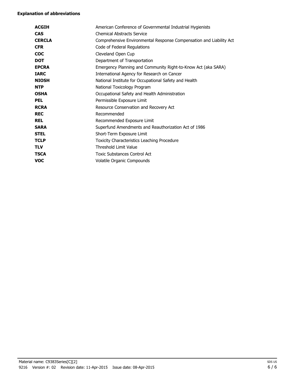#### **Explanation of abbreviations**

| <b>ACGIH</b>  | American Conference of Governmental Industrial Hygienists           |
|---------------|---------------------------------------------------------------------|
| <b>CAS</b>    | <b>Chemical Abstracts Service</b>                                   |
| <b>CERCLA</b> | Comprehensive Environmental Response Compensation and Liability Act |
| <b>CFR</b>    | Code of Federal Regulations                                         |
| <b>COC</b>    | Cleveland Open Cup                                                  |
| <b>DOT</b>    | Department of Transportation                                        |
| <b>EPCRA</b>  | Emergency Planning and Community Right-to-Know Act (aka SARA)       |
| <b>IARC</b>   | International Agency for Research on Cancer                         |
| <b>NIOSH</b>  | National Institute for Occupational Safety and Health               |
| <b>NTP</b>    | National Toxicology Program                                         |
| <b>OSHA</b>   | Occupational Safety and Health Administration                       |
| <b>PEL</b>    | Permissible Exposure Limit                                          |
| <b>RCRA</b>   | Resource Conservation and Recovery Act                              |
| <b>REC</b>    | Recommended                                                         |
| <b>REL</b>    | Recommended Exposure Limit                                          |
| <b>SARA</b>   | Superfund Amendments and Reauthorization Act of 1986                |
| <b>STEL</b>   | Short-Term Exposure Limit                                           |
| <b>TCLP</b>   | Toxicity Characteristics Leaching Procedure                         |
| <b>TLV</b>    | <b>Threshold Limit Value</b>                                        |
| <b>TSCA</b>   | <b>Toxic Substances Control Act</b>                                 |
| voc           | Volatile Organic Compounds                                          |
|               |                                                                     |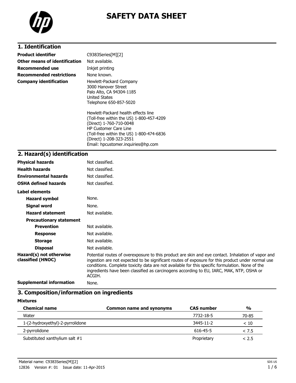

# **SAFETY DATA SHEET**

# **1. Identification**

| <b>Product identifier</b>       | C9383Series[M][2]                                                                                                                                                                                                                                       |
|---------------------------------|---------------------------------------------------------------------------------------------------------------------------------------------------------------------------------------------------------------------------------------------------------|
| Other means of identification   | Not available.                                                                                                                                                                                                                                          |
| Recommended use                 | Inkjet printing                                                                                                                                                                                                                                         |
| <b>Recommended restrictions</b> | None known.                                                                                                                                                                                                                                             |
| <b>Company identification</b>   | Hewlett-Packard Company<br>3000 Hanover Street<br>Palo Alto, CA 94304-1185<br><b>United States</b><br>Telephone 650-857-5020                                                                                                                            |
|                                 | Hewlett-Packard health effects line<br>(Toll-free within the US) 1-800-457-4209<br>(Direct) 1-760-710-0048<br><b>HP Customer Care Line</b><br>(Toll-free within the US) 1-800-474-6836<br>(Direct) 1-208-323-2551<br>Email: hpcustomer.inguiries@hp.com |

# **2. Hazard(s) identification**

| <b>Physical hazards</b>                      | Not classified.                                                                                                                                                                                                                                                                                                                                                                                                  |
|----------------------------------------------|------------------------------------------------------------------------------------------------------------------------------------------------------------------------------------------------------------------------------------------------------------------------------------------------------------------------------------------------------------------------------------------------------------------|
| <b>Health hazards</b>                        | Not classified.                                                                                                                                                                                                                                                                                                                                                                                                  |
| <b>Environmental hazards</b>                 | Not classified.                                                                                                                                                                                                                                                                                                                                                                                                  |
| <b>OSHA defined hazards</b>                  | Not classified.                                                                                                                                                                                                                                                                                                                                                                                                  |
| Label elements                               |                                                                                                                                                                                                                                                                                                                                                                                                                  |
| <b>Hazard symbol</b>                         | None.                                                                                                                                                                                                                                                                                                                                                                                                            |
| Signal word                                  | None.                                                                                                                                                                                                                                                                                                                                                                                                            |
| <b>Hazard statement</b>                      | Not available.                                                                                                                                                                                                                                                                                                                                                                                                   |
| <b>Precautionary statement</b>               |                                                                                                                                                                                                                                                                                                                                                                                                                  |
| <b>Prevention</b>                            | Not available.                                                                                                                                                                                                                                                                                                                                                                                                   |
| <b>Response</b>                              | Not available.                                                                                                                                                                                                                                                                                                                                                                                                   |
| <b>Storage</b>                               | Not available.                                                                                                                                                                                                                                                                                                                                                                                                   |
| <b>Disposal</b>                              | Not available.                                                                                                                                                                                                                                                                                                                                                                                                   |
| Hazard(s) not otherwise<br>classified (HNOC) | Potential routes of overexposure to this product are skin and eye contact. Inhalation of vapor and<br>ingestion are not expected to be significant routes of exposure for this product under normal use<br>conditions. Complete toxicity data are not available for this specific formulation. None of the<br>ingredients have been classified as carcinogens according to EU, IARC, MAK, NTP, OSHA or<br>ACGIH. |
| <b>Supplemental information</b>              | None.                                                                                                                                                                                                                                                                                                                                                                                                            |

# **3. Composition/information on ingredients**

| <b>Chemical name</b>             | <b>Common name and synonyms</b> | <b>CAS number</b> | $\frac{0}{0}$ |
|----------------------------------|---------------------------------|-------------------|---------------|
| Water                            |                                 | 7732-18-5         | 70-85         |
| 1-(2-hydroxyethyl)-2-pyrrolidone |                                 | 3445-11-2         | < 10          |
| 2-pyrrolidone                    |                                 | 616-45-5          | < 7.5         |
| Substituted xanthylium salt #1   |                                 | Proprietary       | < 2.5         |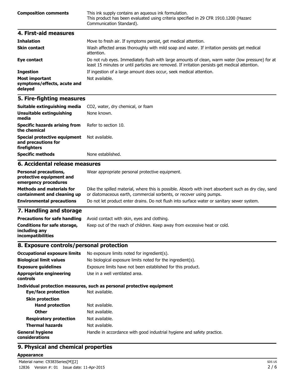| 4. First-aid measures       | Communication Standard).                                                                                                                     |
|-----------------------------|----------------------------------------------------------------------------------------------------------------------------------------------|
| <b>Composition comments</b> | This ink supply contains an aqueous ink formulation.<br>This product has been evaluated using criteria specified in 29 CFR 1910.1200 (Hazard |

| <b>Inhalation</b>                                               | Move to fresh air. If symptoms persist, get medical attention.                                                                                                                                     |
|-----------------------------------------------------------------|----------------------------------------------------------------------------------------------------------------------------------------------------------------------------------------------------|
| <b>Skin contact</b>                                             | Wash affected areas thoroughly with mild soap and water. If irritation persists get medical<br>attention.                                                                                          |
| Eye contact                                                     | Do not rub eyes. Immediately flush with large amounts of clean, warm water (low pressure) for at<br>least 15 minutes or until particles are removed. If irritation persists get medical attention. |
| <b>Ingestion</b>                                                | If ingestion of a large amount does occur, seek medical attention.                                                                                                                                 |
| <b>Most important</b><br>symptoms/effects, acute and<br>delayed | Not available.                                                                                                                                                                                     |

## **5. Fire-fighting measures**

| C. Assidentel velopes messeures                                     |                                   |
|---------------------------------------------------------------------|-----------------------------------|
| <b>Specific methods</b>                                             | None established.                 |
| Special protective equipment<br>and precautions for<br>firefighters | Not available.                    |
| <b>Specific hazards arising from</b><br>the chemical                | Refer to section 10.              |
| Unsuitable extinguishing<br>media                                   | None known.                       |
| Suitable extinguishing media                                        | CO2, water, dry chemical, or foam |

#### **6. Accidental release measures**

| <b>Personal precautions,</b><br>protective equipment and<br>emergency procedures | Wear appropriate personal protective equipment.                                                                                                                              |
|----------------------------------------------------------------------------------|------------------------------------------------------------------------------------------------------------------------------------------------------------------------------|
| <b>Methods and materials for</b><br>containment and cleaning up                  | Dike the spilled material, where this is possible. Absorb with inert absorbent such as dry clay, sand<br>or diatomaceous earth, commercial sorbents, or recover using pumps. |
| <b>Environmental precautions</b>                                                 | Do not let product enter drains. Do not flush into surface water or sanitary sewer system.                                                                                   |
| <b>T</b> Handling and above an                                                   |                                                                                                                                                                              |

### **7. Handling and storage**

| <b>Precautions for safe handling</b>                                      | Avoid contact with skin, eyes and clothing.                               |
|---------------------------------------------------------------------------|---------------------------------------------------------------------------|
| Conditions for safe storage,<br>including any<br><i>incompatibilities</i> | Keep out of the reach of children. Keep away from excessive heat or cold. |

## **8. Exposure controls/personal protection**

| <b>Occupational exposure limits</b><br><b>Biological limit values</b><br><b>Exposure guidelines</b><br><b>Appropriate engineering</b><br><b>controls</b> | No exposure limits noted for ingredient(s).<br>No biological exposure limits noted for the ingredient(s).<br>Exposure limits have not been established for this product.<br>Use in a well ventilated area. |
|----------------------------------------------------------------------------------------------------------------------------------------------------------|------------------------------------------------------------------------------------------------------------------------------------------------------------------------------------------------------------|
| Eye/face protection                                                                                                                                      | Individual protection measures, such as personal protective equipment<br>Not available.                                                                                                                    |
| <b>Skin protection</b><br><b>Hand protection</b><br>Other<br><b>Respiratory protection</b><br><b>Thermal hazards</b>                                     | Not available.<br>Not available.<br>Not available.<br>Not available.                                                                                                                                       |
| <b>General hygiene</b><br>considerations                                                                                                                 | Handle in accordance with good industrial hygiene and safety practice.                                                                                                                                     |

# **9. Physical and chemical properties**

#### **Appearance**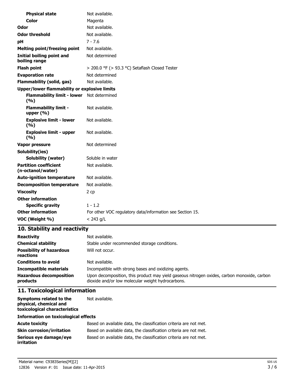| <b>Physical state</b>                               | Not available.                                            |  |
|-----------------------------------------------------|-----------------------------------------------------------|--|
| <b>Color</b>                                        | Magenta                                                   |  |
| Odor                                                | Not available.                                            |  |
| <b>Odor threshold</b>                               | Not available.                                            |  |
| рH                                                  | $7 - 7.6$                                                 |  |
| <b>Melting point/freezing point</b>                 | Not available.                                            |  |
| Initial boiling point and<br>boiling range          | Not determined                                            |  |
| <b>Flash point</b>                                  | > 200.0 °F (> 93.3 °C) Setaflash Closed Tester            |  |
| <b>Evaporation rate</b>                             | Not determined                                            |  |
| <b>Flammability (solid, gas)</b>                    | Not available.                                            |  |
| <b>Upper/lower flammability or explosive limits</b> |                                                           |  |
| <b>Flammability limit - lower</b><br>(%)            | Not determined                                            |  |
| <b>Flammability limit -</b><br>upper $(% )$         | Not available.                                            |  |
| <b>Explosive limit - lower</b><br>(9/6)             | Not available.                                            |  |
| <b>Explosive limit - upper</b><br>(9/6)             | Not available.                                            |  |
| Vapor pressure                                      | Not determined                                            |  |
| Solubility(ies)                                     |                                                           |  |
| <b>Solubility (water)</b>                           | Soluble in water                                          |  |
| <b>Partition coefficient</b><br>(n-octanol/water)   | Not available.                                            |  |
| <b>Auto-ignition temperature</b>                    | Not available.                                            |  |
| <b>Decomposition temperature</b>                    | Not available.                                            |  |
| <b>Viscosity</b>                                    | 2 cp                                                      |  |
| <b>Other information</b>                            |                                                           |  |
| <b>Specific gravity</b>                             | $1 - 1.2$                                                 |  |
| <b>Other information</b>                            | For other VOC regulatory data/information see Section 15. |  |
| VOC (Weight %)                                      | $< 243$ g/L                                               |  |

# **10. Stability and reactivity**

| <b>Reactivity</b>                            | Not available.                                                                                                                                   |
|----------------------------------------------|--------------------------------------------------------------------------------------------------------------------------------------------------|
| <b>Chemical stability</b>                    | Stable under recommended storage conditions.                                                                                                     |
| <b>Possibility of hazardous</b><br>reactions | Will not occur.                                                                                                                                  |
| <b>Conditions to avoid</b>                   | Not available.                                                                                                                                   |
| <b>Incompatible materials</b>                | Incompatible with strong bases and oxidizing agents.                                                                                             |
| <b>Hazardous decomposition</b><br>products   | Upon decomposition, this product may yield gaseous nitrogen oxides, carbon monoxide, carbon<br>dioxide and/or low molecular weight hydrocarbons. |

# **11. Toxicological information**

| Symptoms related to the<br>physical, chemical and<br>toxicological characteristics | Not available.                                                    |  |
|------------------------------------------------------------------------------------|-------------------------------------------------------------------|--|
| <b>Information on toxicological effects</b>                                        |                                                                   |  |
| <b>Acute toxicity</b>                                                              | Based on available data, the classification criteria are not met. |  |
| <b>Skin corrosion/irritation</b>                                                   | Based on available data, the classification criteria are not met. |  |
| Serious eye damage/eye<br>irritation                                               | Based on available data, the classification criteria are not met. |  |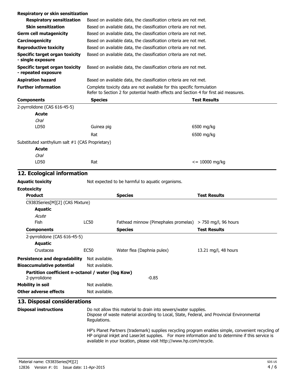| <b>Respiratory or skin sensitization</b>                           |                                                                                                                                                                 |                                                                                                                                                               |                                                                                                     |  |  |
|--------------------------------------------------------------------|-----------------------------------------------------------------------------------------------------------------------------------------------------------------|---------------------------------------------------------------------------------------------------------------------------------------------------------------|-----------------------------------------------------------------------------------------------------|--|--|
| <b>Respiratory sensitization</b>                                   |                                                                                                                                                                 | Based on available data, the classification criteria are not met.                                                                                             |                                                                                                     |  |  |
| <b>Skin sensitization</b>                                          |                                                                                                                                                                 | Based on available data, the classification criteria are not met.                                                                                             |                                                                                                     |  |  |
| <b>Germ cell mutagenicity</b>                                      | Based on available data, the classification criteria are not met.                                                                                               |                                                                                                                                                               |                                                                                                     |  |  |
| Carcinogenicity                                                    |                                                                                                                                                                 | Based on available data, the classification criteria are not met.                                                                                             |                                                                                                     |  |  |
| <b>Reproductive toxicity</b>                                       | Based on available data, the classification criteria are not met.                                                                                               |                                                                                                                                                               |                                                                                                     |  |  |
| Specific target organ toxicity<br>- single exposure                | Based on available data, the classification criteria are not met.                                                                                               |                                                                                                                                                               |                                                                                                     |  |  |
| <b>Specific target organ toxicity</b><br>- repeated exposure       | Based on available data, the classification criteria are not met.                                                                                               |                                                                                                                                                               |                                                                                                     |  |  |
| <b>Aspiration hazard</b>                                           | Based on available data, the classification criteria are not met.                                                                                               |                                                                                                                                                               |                                                                                                     |  |  |
| <b>Further information</b>                                         | Complete toxicity data are not available for this specific formulation<br>Refer to Section 2 for potential health effects and Section 4 for first aid measures. |                                                                                                                                                               |                                                                                                     |  |  |
| <b>Components</b>                                                  | <b>Species</b>                                                                                                                                                  |                                                                                                                                                               | <b>Test Results</b>                                                                                 |  |  |
| 2-pyrrolidone (CAS 616-45-5)                                       |                                                                                                                                                                 |                                                                                                                                                               |                                                                                                     |  |  |
| Acute                                                              |                                                                                                                                                                 |                                                                                                                                                               |                                                                                                     |  |  |
| <b>Oral</b>                                                        |                                                                                                                                                                 |                                                                                                                                                               |                                                                                                     |  |  |
| LD50                                                               | Guinea pig                                                                                                                                                      |                                                                                                                                                               | 6500 mg/kg                                                                                          |  |  |
|                                                                    | Rat                                                                                                                                                             |                                                                                                                                                               | 6500 mg/kg                                                                                          |  |  |
| Substituted xanthylium salt #1 (CAS Proprietary)                   |                                                                                                                                                                 |                                                                                                                                                               |                                                                                                     |  |  |
| Acute                                                              |                                                                                                                                                                 |                                                                                                                                                               |                                                                                                     |  |  |
| <b>Oral</b>                                                        |                                                                                                                                                                 |                                                                                                                                                               |                                                                                                     |  |  |
| LD50                                                               | Rat                                                                                                                                                             |                                                                                                                                                               | $\epsilon$ = 10000 mg/kg                                                                            |  |  |
|                                                                    |                                                                                                                                                                 |                                                                                                                                                               |                                                                                                     |  |  |
| 12. Ecological information                                         |                                                                                                                                                                 |                                                                                                                                                               |                                                                                                     |  |  |
| <b>Aquatic toxicity</b>                                            |                                                                                                                                                                 | Not expected to be harmful to aquatic organisms.                                                                                                              |                                                                                                     |  |  |
| <b>Ecotoxicity</b>                                                 |                                                                                                                                                                 |                                                                                                                                                               |                                                                                                     |  |  |
| <b>Product</b>                                                     |                                                                                                                                                                 | <b>Species</b>                                                                                                                                                | <b>Test Results</b>                                                                                 |  |  |
| C9383Series[M][2] (CAS Mixture)                                    |                                                                                                                                                                 |                                                                                                                                                               |                                                                                                     |  |  |
| <b>Aquatic</b>                                                     |                                                                                                                                                                 |                                                                                                                                                               |                                                                                                     |  |  |
| Acute                                                              |                                                                                                                                                                 |                                                                                                                                                               |                                                                                                     |  |  |
| <b>Fish</b>                                                        | <b>LC50</b>                                                                                                                                                     | Fathead minnow (Pimephales promelas) > 750 mg/l, 96 hours                                                                                                     |                                                                                                     |  |  |
| <b>Components</b>                                                  |                                                                                                                                                                 | <b>Species</b>                                                                                                                                                | Test Results                                                                                        |  |  |
| 2-pyrrolidone (CAS 616-45-5)                                       |                                                                                                                                                                 |                                                                                                                                                               |                                                                                                     |  |  |
| <b>Aquatic</b><br>Crustacea                                        |                                                                                                                                                                 |                                                                                                                                                               |                                                                                                     |  |  |
|                                                                    | <b>EC50</b>                                                                                                                                                     | Water flea (Daphnia pulex)                                                                                                                                    | 13.21 mg/l, 48 hours                                                                                |  |  |
| <b>Persistence and degradability</b>                               | Not available.                                                                                                                                                  |                                                                                                                                                               |                                                                                                     |  |  |
| <b>Bioaccumulative potential</b>                                   | Not available.                                                                                                                                                  |                                                                                                                                                               |                                                                                                     |  |  |
| Partition coefficient n-octanol / water (log Kow)<br>2-pyrrolidone |                                                                                                                                                                 | $-0.85$                                                                                                                                                       |                                                                                                     |  |  |
| <b>Mobility in soil</b>                                            | Not available.                                                                                                                                                  |                                                                                                                                                               |                                                                                                     |  |  |
| <b>Other adverse effects</b>                                       | Not available.                                                                                                                                                  |                                                                                                                                                               |                                                                                                     |  |  |
| 13. Disposal considerations                                        |                                                                                                                                                                 |                                                                                                                                                               |                                                                                                     |  |  |
| <b>Disposal instructions</b>                                       | Regulations.                                                                                                                                                    | Do not allow this material to drain into sewers/water supplies.<br>Dispose of waste material according to Local, State, Federal, and Provincial Environmental |                                                                                                     |  |  |
|                                                                    |                                                                                                                                                                 | HP original inkjet and LaserJet supplies. For more information and to determine if this service is                                                            | HP's Planet Partners (trademark) supplies recycling program enables simple, convenient recycling of |  |  |

available in your location, please visit http://www.hp.com/recycle.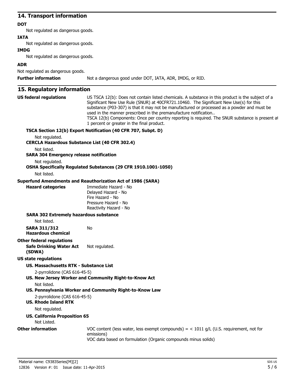## **14. Transport information**

#### **DOT**

Not regulated as dangerous goods.

#### **IATA**

Not regulated as dangerous goods.

#### **IMDG**

Not regulated as dangerous goods.

## **ADR**

Not regulated as dangerous goods.

**Further information** Not a dangerous good under DOT, IATA, ADR, IMDG, or RID.

# **15. Regulatory information**

| <b>US federal regulations</b>                                | US TSCA 12(b): Does not contain listed chemicals. A substance in this product is the subject of a<br>Significant New Use Rule (SNUR) at 40CFR721.10460. The Significant New Use(s) for this<br>substance (P03-307) is that it may not be manufactured or processed as a powder and must be<br>used in the manner prescribed in the premanufacture notification<br>TSCA 12(b) Components: Once per country reporting is required. The SNUR substance is present at<br>1 percent or greater in the final product. |
|--------------------------------------------------------------|-----------------------------------------------------------------------------------------------------------------------------------------------------------------------------------------------------------------------------------------------------------------------------------------------------------------------------------------------------------------------------------------------------------------------------------------------------------------------------------------------------------------|
|                                                              | TSCA Section 12(b) Export Notification (40 CFR 707, Subpt. D)                                                                                                                                                                                                                                                                                                                                                                                                                                                   |
| Not regulated.                                               |                                                                                                                                                                                                                                                                                                                                                                                                                                                                                                                 |
| <b>CERCLA Hazardous Substance List (40 CFR 302.4)</b>        |                                                                                                                                                                                                                                                                                                                                                                                                                                                                                                                 |
| Not listed.                                                  |                                                                                                                                                                                                                                                                                                                                                                                                                                                                                                                 |
| <b>SARA 304 Emergency release notification</b>               |                                                                                                                                                                                                                                                                                                                                                                                                                                                                                                                 |
| Not regulated.                                               |                                                                                                                                                                                                                                                                                                                                                                                                                                                                                                                 |
|                                                              | OSHA Specifically Regulated Substances (29 CFR 1910.1001-1050)                                                                                                                                                                                                                                                                                                                                                                                                                                                  |
| Not listed.                                                  |                                                                                                                                                                                                                                                                                                                                                                                                                                                                                                                 |
|                                                              | <b>Superfund Amendments and Reauthorization Act of 1986 (SARA)</b>                                                                                                                                                                                                                                                                                                                                                                                                                                              |
| <b>Hazard categories</b>                                     | Immediate Hazard - No                                                                                                                                                                                                                                                                                                                                                                                                                                                                                           |
|                                                              | Delayed Hazard - No                                                                                                                                                                                                                                                                                                                                                                                                                                                                                             |
|                                                              | Fire Hazard - No                                                                                                                                                                                                                                                                                                                                                                                                                                                                                                |
|                                                              | Pressure Hazard - No                                                                                                                                                                                                                                                                                                                                                                                                                                                                                            |
|                                                              | Reactivity Hazard - No                                                                                                                                                                                                                                                                                                                                                                                                                                                                                          |
| <b>SARA 302 Extremely hazardous substance</b><br>Not listed. |                                                                                                                                                                                                                                                                                                                                                                                                                                                                                                                 |
| <b>SARA 311/312</b><br><b>Hazardous chemical</b>             | No                                                                                                                                                                                                                                                                                                                                                                                                                                                                                                              |
| <b>Other federal regulations</b>                             |                                                                                                                                                                                                                                                                                                                                                                                                                                                                                                                 |
| <b>Safe Drinking Water Act</b><br>(SDWA)                     | Not regulated.                                                                                                                                                                                                                                                                                                                                                                                                                                                                                                  |
| <b>US state regulations</b>                                  |                                                                                                                                                                                                                                                                                                                                                                                                                                                                                                                 |
| US. Massachusetts RTK - Substance List                       |                                                                                                                                                                                                                                                                                                                                                                                                                                                                                                                 |
| 2-pyrrolidone (CAS 616-45-5)                                 |                                                                                                                                                                                                                                                                                                                                                                                                                                                                                                                 |
|                                                              | US. New Jersey Worker and Community Right-to-Know Act                                                                                                                                                                                                                                                                                                                                                                                                                                                           |
| Not listed.                                                  |                                                                                                                                                                                                                                                                                                                                                                                                                                                                                                                 |
|                                                              | US. Pennsylvania Worker and Community Right-to-Know Law                                                                                                                                                                                                                                                                                                                                                                                                                                                         |
| 2-pyrrolidone (CAS 616-45-5)                                 |                                                                                                                                                                                                                                                                                                                                                                                                                                                                                                                 |
| <b>US. Rhode Island RTK</b>                                  |                                                                                                                                                                                                                                                                                                                                                                                                                                                                                                                 |
| Not regulated.                                               |                                                                                                                                                                                                                                                                                                                                                                                                                                                                                                                 |
| <b>US. California Proposition 65</b>                         |                                                                                                                                                                                                                                                                                                                                                                                                                                                                                                                 |
| Not Listed.                                                  |                                                                                                                                                                                                                                                                                                                                                                                                                                                                                                                 |
| <b>Other information</b>                                     | VOC content (less water, less exempt compounds) = $<$ 1011 g/L (U.S. requirement, not for<br>emissions)                                                                                                                                                                                                                                                                                                                                                                                                         |
|                                                              | VOC data based on formulation (Organic compounds minus solids)                                                                                                                                                                                                                                                                                                                                                                                                                                                  |